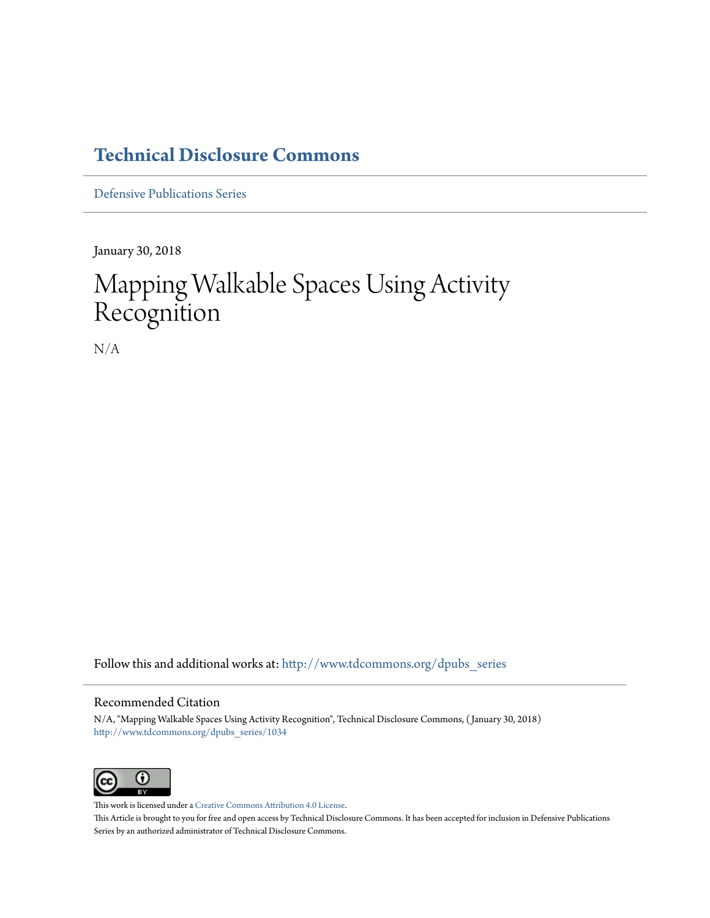## **[Technical Disclosure Commons](http://www.tdcommons.org?utm_source=www.tdcommons.org%2Fdpubs_series%2F1034&utm_medium=PDF&utm_campaign=PDFCoverPages)**

[Defensive Publications Series](http://www.tdcommons.org/dpubs_series?utm_source=www.tdcommons.org%2Fdpubs_series%2F1034&utm_medium=PDF&utm_campaign=PDFCoverPages)

January 30, 2018

# Mapping Walkable Spaces Using Activity Recognition

N/A

Follow this and additional works at: [http://www.tdcommons.org/dpubs\\_series](http://www.tdcommons.org/dpubs_series?utm_source=www.tdcommons.org%2Fdpubs_series%2F1034&utm_medium=PDF&utm_campaign=PDFCoverPages)

#### Recommended Citation

N/A, "Mapping Walkable Spaces Using Activity Recognition", Technical Disclosure Commons, ( January 30, 2018) [http://www.tdcommons.org/dpubs\\_series/1034](http://www.tdcommons.org/dpubs_series/1034?utm_source=www.tdcommons.org%2Fdpubs_series%2F1034&utm_medium=PDF&utm_campaign=PDFCoverPages)



This work is licensed under a [Creative Commons Attribution 4.0 License.](http://creativecommons.org/licenses/by/4.0/deed.en_US) This Article is brought to you for free and open access by Technical Disclosure Commons. It has been accepted for inclusion in Defensive Publications Series by an authorized administrator of Technical Disclosure Commons.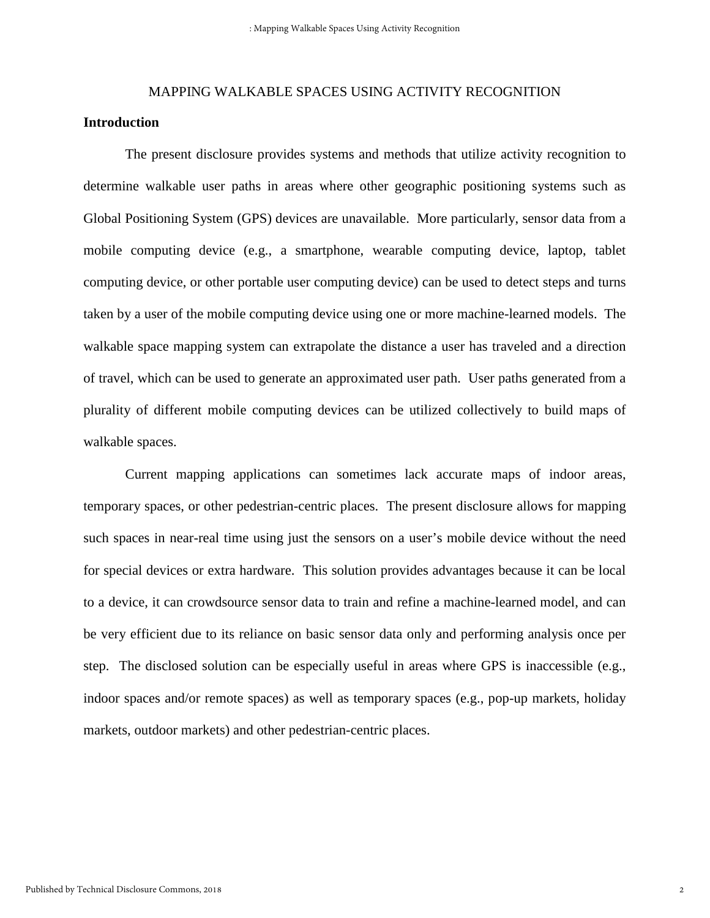## MAPPING WALKABLE SPACES USING ACTIVITY RECOGNITION **Introduction**

The present disclosure provides systems and methods that utilize activity recognition to determine walkable user paths in areas where other geographic positioning systems such as Global Positioning System (GPS) devices are unavailable. More particularly, sensor data from a mobile computing device (e.g., a smartphone, wearable computing device, laptop, tablet computing device, or other portable user computing device) can be used to detect steps and turns taken by a user of the mobile computing device using one or more machine-learned models. The walkable space mapping system can extrapolate the distance a user has traveled and a direction of travel, which can be used to generate an approximated user path. User paths generated from a plurality of different mobile computing devices can be utilized collectively to build maps of walkable spaces.

Current mapping applications can sometimes lack accurate maps of indoor areas, temporary spaces, or other pedestrian-centric places. The present disclosure allows for mapping such spaces in near-real time using just the sensors on a user's mobile device without the need for special devices or extra hardware. This solution provides advantages because it can be local to a device, it can crowdsource sensor data to train and refine a machine-learned model, and can be very efficient due to its reliance on basic sensor data only and performing analysis once per step. The disclosed solution can be especially useful in areas where GPS is inaccessible (e.g., indoor spaces and/or remote spaces) as well as temporary spaces (e.g., pop-up markets, holiday markets, outdoor markets) and other pedestrian-centric places.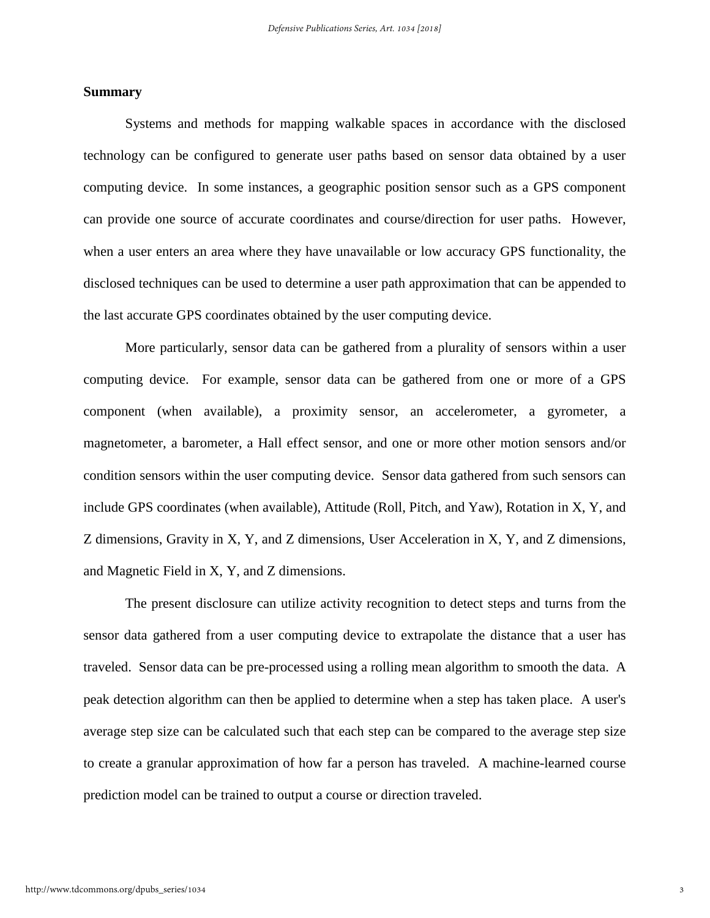#### **Summary**

Systems and methods for mapping walkable spaces in accordance with the disclosed technology can be configured to generate user paths based on sensor data obtained by a user computing device. In some instances, a geographic position sensor such as a GPS component can provide one source of accurate coordinates and course/direction for user paths. However, when a user enters an area where they have unavailable or low accuracy GPS functionality, the disclosed techniques can be used to determine a user path approximation that can be appended to the last accurate GPS coordinates obtained by the user computing device.

More particularly, sensor data can be gathered from a plurality of sensors within a user computing device. For example, sensor data can be gathered from one or more of a GPS component (when available), a proximity sensor, an accelerometer, a gyrometer, a magnetometer, a barometer, a Hall effect sensor, and one or more other motion sensors and/or condition sensors within the user computing device. Sensor data gathered from such sensors can include GPS coordinates (when available), Attitude (Roll, Pitch, and Yaw), Rotation in X, Y, and Z dimensions, Gravity in X, Y, and Z dimensions, User Acceleration in X, Y, and Z dimensions, and Magnetic Field in X, Y, and Z dimensions.

The present disclosure can utilize activity recognition to detect steps and turns from the sensor data gathered from a user computing device to extrapolate the distance that a user has traveled. Sensor data can be pre-processed using a rolling mean algorithm to smooth the data. A peak detection algorithm can then be applied to determine when a step has taken place. A user's average step size can be calculated such that each step can be compared to the average step size to create a granular approximation of how far a person has traveled. A machine-learned course prediction model can be trained to output a course or direction traveled.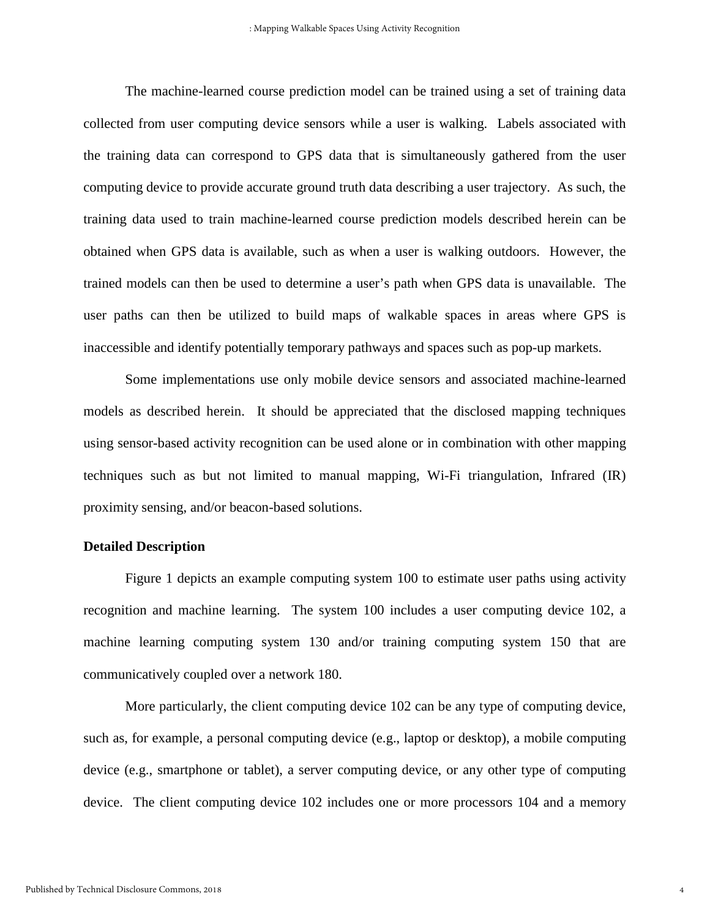The machine-learned course prediction model can be trained using a set of training data collected from user computing device sensors while a user is walking. Labels associated with the training data can correspond to GPS data that is simultaneously gathered from the user computing device to provide accurate ground truth data describing a user trajectory. As such, the training data used to train machine-learned course prediction models described herein can be obtained when GPS data is available, such as when a user is walking outdoors. However, the trained models can then be used to determine a user's path when GPS data is unavailable. The user paths can then be utilized to build maps of walkable spaces in areas where GPS is inaccessible and identify potentially temporary pathways and spaces such as pop-up markets.

Some implementations use only mobile device sensors and associated machine-learned models as described herein. It should be appreciated that the disclosed mapping techniques using sensor-based activity recognition can be used alone or in combination with other mapping techniques such as but not limited to manual mapping, Wi-Fi triangulation, Infrared (IR) proximity sensing, and/or beacon-based solutions.

#### **Detailed Description**

Figure 1 depicts an example computing system 100 to estimate user paths using activity recognition and machine learning. The system 100 includes a user computing device 102, a machine learning computing system 130 and/or training computing system 150 that are communicatively coupled over a network 180.

More particularly, the client computing device 102 can be any type of computing device, such as, for example, a personal computing device (e.g., laptop or desktop), a mobile computing device (e.g., smartphone or tablet), a server computing device, or any other type of computing device. The client computing device 102 includes one or more processors 104 and a memory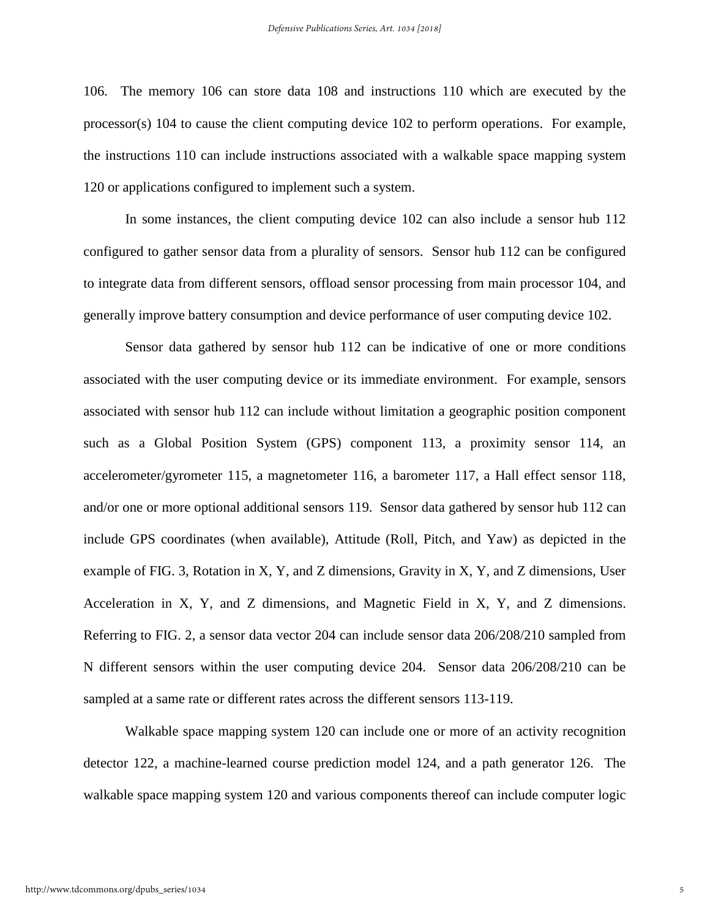106. The memory 106 can store data 108 and instructions 110 which are executed by the processor(s) 104 to cause the client computing device 102 to perform operations. For example, the instructions 110 can include instructions associated with a walkable space mapping system 120 or applications configured to implement such a system.

In some instances, the client computing device 102 can also include a sensor hub 112 configured to gather sensor data from a plurality of sensors. Sensor hub 112 can be configured to integrate data from different sensors, offload sensor processing from main processor 104, and generally improve battery consumption and device performance of user computing device 102.

Sensor data gathered by sensor hub 112 can be indicative of one or more conditions associated with the user computing device or its immediate environment. For example, sensors associated with sensor hub 112 can include without limitation a geographic position component such as a Global Position System (GPS) component 113, a proximity sensor 114, an accelerometer/gyrometer 115, a magnetometer 116, a barometer 117, a Hall effect sensor 118, and/or one or more optional additional sensors 119. Sensor data gathered by sensor hub 112 can include GPS coordinates (when available), Attitude (Roll, Pitch, and Yaw) as depicted in the example of FIG. 3, Rotation in X, Y, and Z dimensions, Gravity in X, Y, and Z dimensions, User Acceleration in X, Y, and Z dimensions, and Magnetic Field in X, Y, and Z dimensions. Referring to FIG. 2, a sensor data vector 204 can include sensor data 206/208/210 sampled from N different sensors within the user computing device 204. Sensor data 206/208/210 can be sampled at a same rate or different rates across the different sensors 113-119.

Walkable space mapping system 120 can include one or more of an activity recognition detector 122, a machine-learned course prediction model 124, and a path generator 126. The walkable space mapping system 120 and various components thereof can include computer logic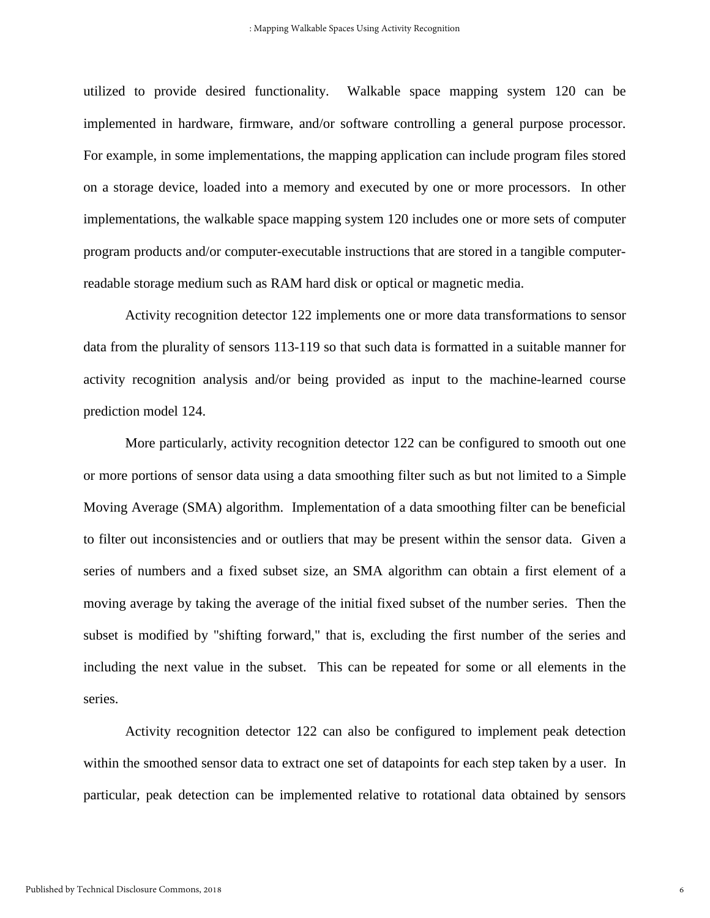utilized to provide desired functionality. Walkable space mapping system 120 can be implemented in hardware, firmware, and/or software controlling a general purpose processor. For example, in some implementations, the mapping application can include program files stored on a storage device, loaded into a memory and executed by one or more processors. In other implementations, the walkable space mapping system 120 includes one or more sets of computer program products and/or computer-executable instructions that are stored in a tangible computerreadable storage medium such as RAM hard disk or optical or magnetic media.

Activity recognition detector 122 implements one or more data transformations to sensor data from the plurality of sensors 113-119 so that such data is formatted in a suitable manner for activity recognition analysis and/or being provided as input to the machine-learned course prediction model 124.

More particularly, activity recognition detector 122 can be configured to smooth out one or more portions of sensor data using a data smoothing filter such as but not limited to a Simple Moving Average (SMA) algorithm. Implementation of a data smoothing filter can be beneficial to filter out inconsistencies and or outliers that may be present within the sensor data. Given a series of numbers and a fixed subset size, an SMA algorithm can obtain a first element of a moving average by taking the average of the initial fixed subset of the number series. Then the subset is modified by "shifting forward," that is, excluding the first number of the series and including the next value in the subset. This can be repeated for some or all elements in the series.

Activity recognition detector 122 can also be configured to implement peak detection within the smoothed sensor data to extract one set of datapoints for each step taken by a user. In particular, peak detection can be implemented relative to rotational data obtained by sensors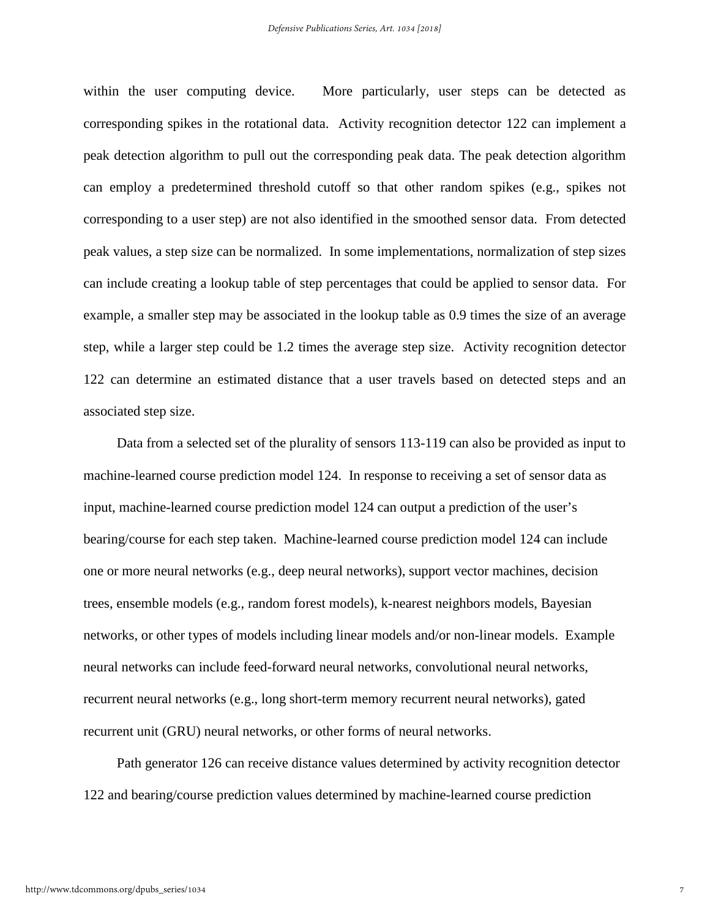within the user computing device. More particularly, user steps can be detected as corresponding spikes in the rotational data. Activity recognition detector 122 can implement a peak detection algorithm to pull out the corresponding peak data. The peak detection algorithm can employ a predetermined threshold cutoff so that other random spikes (e.g., spikes not corresponding to a user step) are not also identified in the smoothed sensor data. From detected peak values, a step size can be normalized. In some implementations, normalization of step sizes can include creating a lookup table of step percentages that could be applied to sensor data. For example, a smaller step may be associated in the lookup table as 0.9 times the size of an average step, while a larger step could be 1.2 times the average step size. Activity recognition detector 122 can determine an estimated distance that a user travels based on detected steps and an associated step size.

Data from a selected set of the plurality of sensors 113-119 can also be provided as input to machine-learned course prediction model 124. In response to receiving a set of sensor data as input, machine-learned course prediction model 124 can output a prediction of the user's bearing/course for each step taken. Machine-learned course prediction model 124 can include one or more neural networks (e.g., deep neural networks), support vector machines, decision trees, ensemble models (e.g., random forest models), k-nearest neighbors models, Bayesian networks, or other types of models including linear models and/or non-linear models. Example neural networks can include feed-forward neural networks, convolutional neural networks, recurrent neural networks (e.g., long short-term memory recurrent neural networks), gated recurrent unit (GRU) neural networks, or other forms of neural networks.

Path generator 126 can receive distance values determined by activity recognition detector 122 and bearing/course prediction values determined by machine-learned course prediction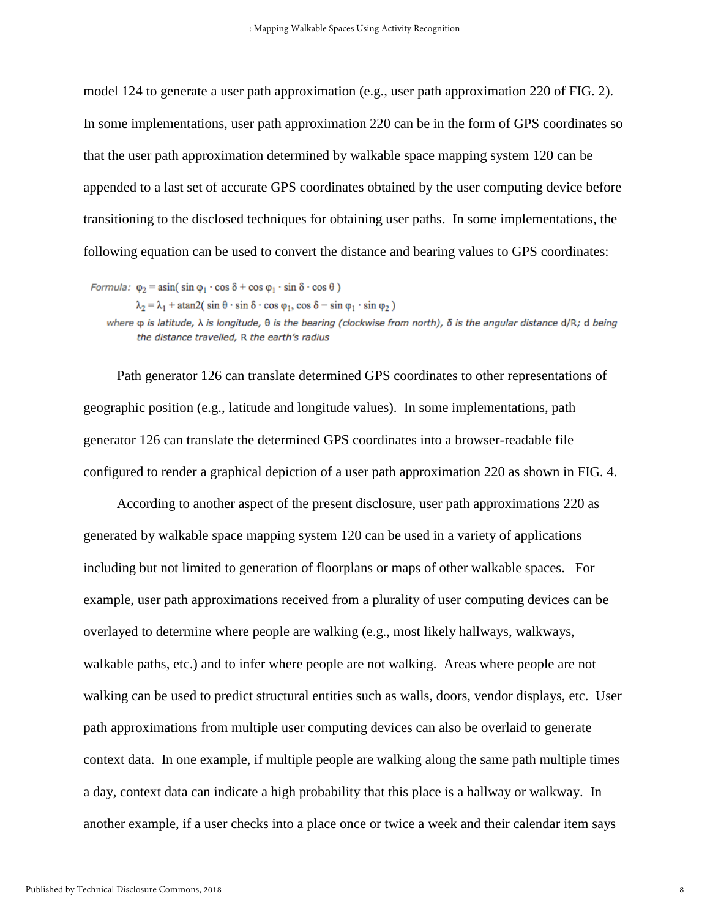model 124 to generate a user path approximation (e.g., user path approximation 220 of FIG. 2). In some implementations, user path approximation 220 can be in the form of GPS coordinates so that the user path approximation determined by walkable space mapping system 120 can be appended to a last set of accurate GPS coordinates obtained by the user computing device before transitioning to the disclosed techniques for obtaining user paths. In some implementations, the following equation can be used to convert the distance and bearing values to GPS coordinates:

*Formula:*  $\varphi_2 = \text{asin}(\sin \varphi_1 \cdot \cos \delta + \cos \varphi_1 \cdot \sin \delta \cdot \cos \theta)$  $\lambda_2 = \lambda_1 + \text{atan2}(\sin \theta \cdot \sin \delta \cdot \cos \varphi_1, \cos \delta - \sin \varphi_1 \cdot \sin \varphi_2)$ where  $\varphi$  is latitude,  $\lambda$  is longitude,  $\theta$  is the bearing (clockwise from north),  $\delta$  is the angular distance d/R; d being

the distance travelled. R the earth's radius

Path generator 126 can translate determined GPS coordinates to other representations of geographic position (e.g., latitude and longitude values). In some implementations, path generator 126 can translate the determined GPS coordinates into a browser-readable file configured to render a graphical depiction of a user path approximation 220 as shown in FIG. 4.

 According to another aspect of the present disclosure, user path approximations 220 as generated by walkable space mapping system 120 can be used in a variety of applications including but not limited to generation of floorplans or maps of other walkable spaces. For example, user path approximations received from a plurality of user computing devices can be overlayed to determine where people are walking (e.g., most likely hallways, walkways, walkable paths, etc.) and to infer where people are not walking. Areas where people are not walking can be used to predict structural entities such as walls, doors, vendor displays, etc. User path approximations from multiple user computing devices can also be overlaid to generate context data. In one example, if multiple people are walking along the same path multiple times a day, context data can indicate a high probability that this place is a hallway or walkway. In another example, if a user checks into a place once or twice a week and their calendar item says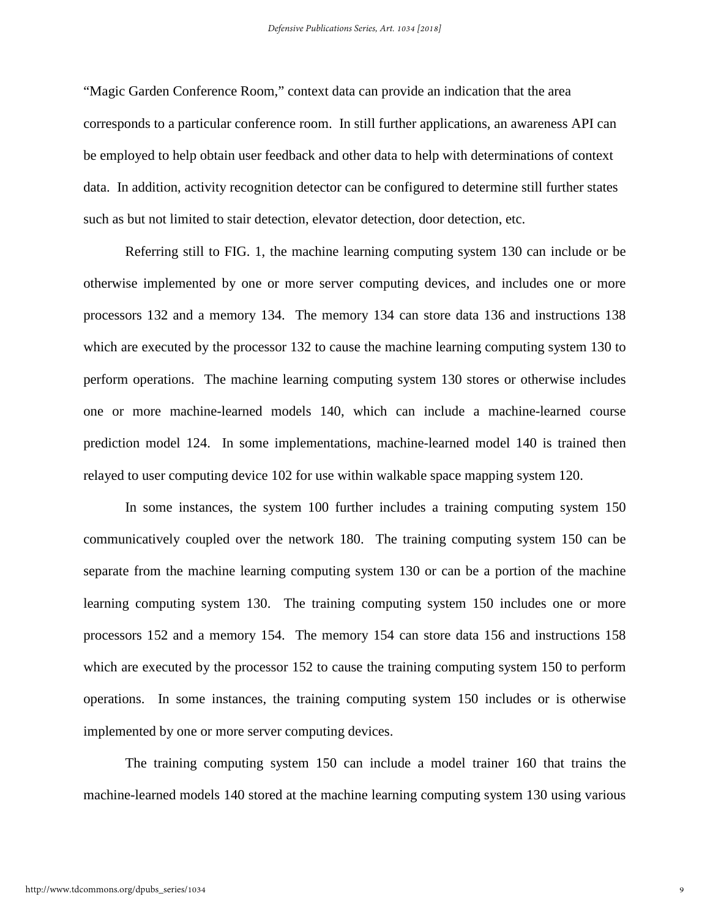"Magic Garden Conference Room," context data can provide an indication that the area corresponds to a particular conference room. In still further applications, an awareness API can be employed to help obtain user feedback and other data to help with determinations of context data. In addition, activity recognition detector can be configured to determine still further states such as but not limited to stair detection, elevator detection, door detection, etc.

Referring still to FIG. 1, the machine learning computing system 130 can include or be otherwise implemented by one or more server computing devices, and includes one or more processors 132 and a memory 134. The memory 134 can store data 136 and instructions 138 which are executed by the processor 132 to cause the machine learning computing system 130 to perform operations. The machine learning computing system 130 stores or otherwise includes one or more machine-learned models 140, which can include a machine-learned course prediction model 124. In some implementations, machine-learned model 140 is trained then relayed to user computing device 102 for use within walkable space mapping system 120.

In some instances, the system 100 further includes a training computing system 150 communicatively coupled over the network 180. The training computing system 150 can be separate from the machine learning computing system 130 or can be a portion of the machine learning computing system 130. The training computing system 150 includes one or more processors 152 and a memory 154. The memory 154 can store data 156 and instructions 158 which are executed by the processor 152 to cause the training computing system 150 to perform operations. In some instances, the training computing system 150 includes or is otherwise implemented by one or more server computing devices.

The training computing system 150 can include a model trainer 160 that trains the machine-learned models 140 stored at the machine learning computing system 130 using various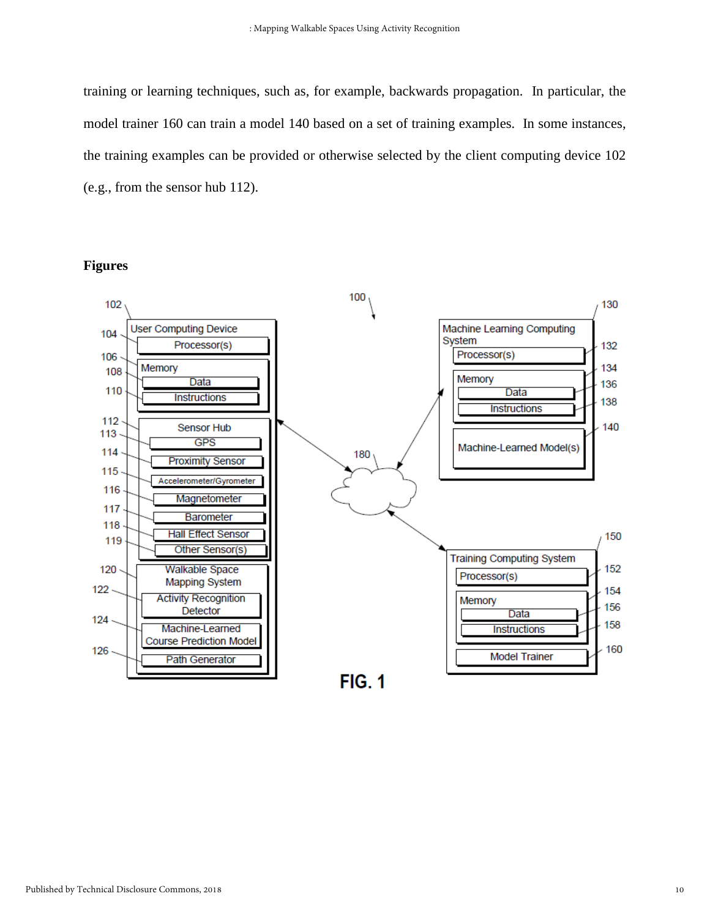training or learning techniques, such as, for example, backwards propagation. In particular, the model trainer 160 can train a model 140 based on a set of training examples. In some instances, the training examples can be provided or otherwise selected by the client computing device 102 (e.g., from the sensor hub 112).

#### **Figures**